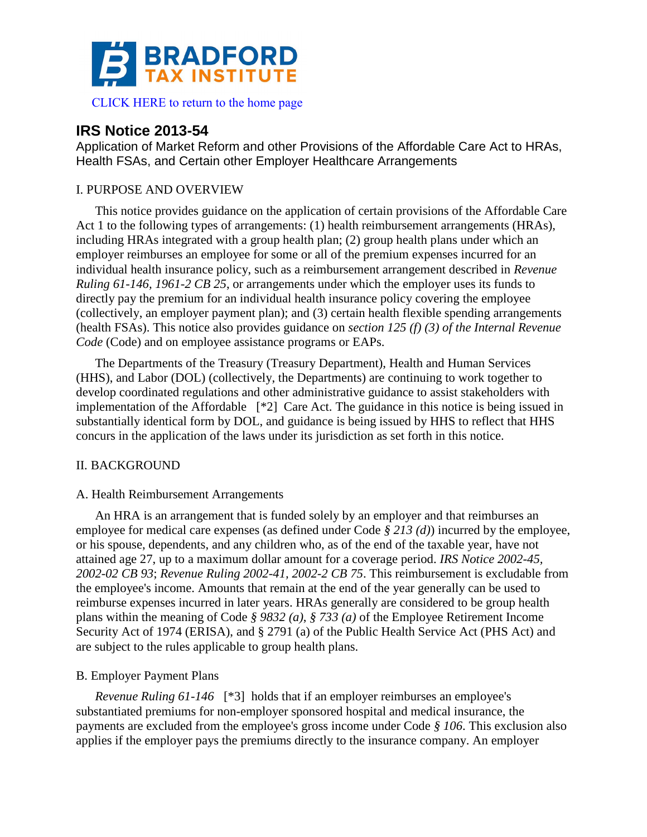

# **IRS Notice 2013-54**

Application of Market Reform and other Provisions of the Affordable Care Act to HRAs, Health FSAs, and Certain other Employer Healthcare Arrangements

## I. PURPOSE AND OVERVIEW

This notice provides guidance on the application of certain provisions of the Affordable Care Act 1 to the following types of arrangements: (1) health reimbursement arrangements (HRAs), including HRAs integrated with a group health plan; (2) group health plans under which an employer reimburses an employee for some or all of the premium expenses incurred for an individual health insurance policy, such as a reimbursement arrangement described in *Revenue Ruling 61-146, 1961-2 CB 25*, or arrangements under which the employer uses its funds to directly pay the premium for an individual health insurance policy covering the employee (collectively, an employer payment plan); and (3) certain health flexible spending arrangements (health FSAs). This notice also provides guidance on *section 125 (f) (3) of the Internal Revenue Code* (Code) and on employee assistance programs or EAPs.

The Departments of the Treasury (Treasury Department), Health and Human Services (HHS), and Labor (DOL) (collectively, the Departments) are continuing to work together to develop coordinated regulations and other administrative guidance to assist stakeholders with implementation of the Affordable [\*2] Care Act. The guidance in this notice is being issued in substantially identical form by DOL, and guidance is being issued by HHS to reflect that HHS concurs in the application of the laws under its jurisdiction as set forth in this notice.

## II. BACKGROUND

## A. Health Reimbursement Arrangements

An HRA is an arrangement that is funded solely by an employer and that reimburses an employee for medical care expenses (as defined under Code *§ 213 (d)*) incurred by the employee, or his spouse, dependents, and any children who, as of the end of the taxable year, have not attained age 27, up to a maximum dollar amount for a coverage period. *IRS Notice 2002-45, 2002-02 CB 93*; *Revenue Ruling 2002-41, 2002-2 CB 75*. This reimbursement is excludable from the employee's income. Amounts that remain at the end of the year generally can be used to reimburse expenses incurred in later years. HRAs generally are considered to be group health plans within the meaning of Code *§ 9832 (a)*, *§ 733 (a)* of the Employee Retirement Income Security Act of 1974 (ERISA), and § 2791 (a) of the Public Health Service Act (PHS Act) and are subject to the rules applicable to group health plans.

## B. Employer Payment Plans

*Revenue Ruling 61-146* [\*3] holds that if an employer reimburses an employee's substantiated premiums for non-employer sponsored hospital and medical insurance, the payments are excluded from the employee's gross income under Code *§ 106*. This exclusion also applies if the employer pays the premiums directly to the insurance company. An employer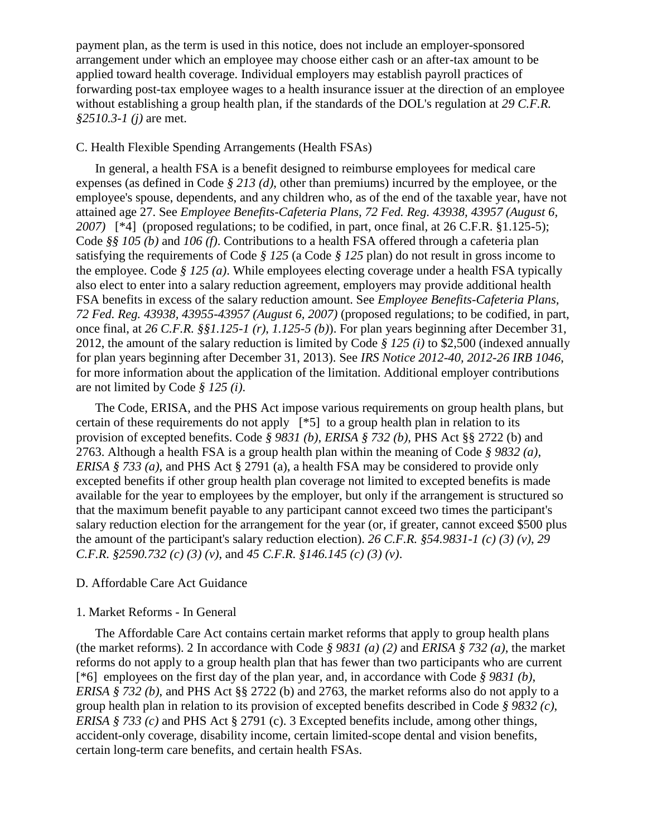payment plan, as the term is used in this notice, does not include an employer-sponsored arrangement under which an employee may choose either cash or an after-tax amount to be applied toward health coverage. Individual employers may establish payroll practices of forwarding post-tax employee wages to a health insurance issuer at the direction of an employee without establishing a group health plan, if the standards of the DOL's regulation at *29 C.F.R. §2510.3-1 (j)* are met.

## C. Health Flexible Spending Arrangements (Health FSAs)

In general, a health FSA is a benefit designed to reimburse employees for medical care expenses (as defined in Code *§ 213 (d)*, other than premiums) incurred by the employee, or the employee's spouse, dependents, and any children who, as of the end of the taxable year, have not attained age 27. See *Employee Benefits-Cafeteria Plans, 72 Fed. Reg. 43938, 43957 (August 6, 2007)* [\*4] (proposed regulations; to be codified, in part, once final, at 26 C.F.R. §1.125-5); Code *§§ 105 (b)* and *106 (f)*. Contributions to a health FSA offered through a cafeteria plan satisfying the requirements of Code *§ 125* (a Code *§ 125* plan) do not result in gross income to the employee. Code *§ 125 (a)*. While employees electing coverage under a health FSA typically also elect to enter into a salary reduction agreement, employers may provide additional health FSA benefits in excess of the salary reduction amount. See *Employee Benefits-Cafeteria Plans, 72 Fed. Reg. 43938, 43955-43957 (August 6, 2007)* (proposed regulations; to be codified, in part, once final, at *26 C.F.R. §§1.125-1 (r)*, *1.125-5 (b)*). For plan years beginning after December 31, 2012, the amount of the salary reduction is limited by Code *§ 125 (i)* to \$2,500 (indexed annually for plan years beginning after December 31, 2013). See *IRS Notice 2012-40, 2012-26 IRB 1046*, for more information about the application of the limitation. Additional employer contributions are not limited by Code *§ 125 (i)*.

The Code, ERISA, and the PHS Act impose various requirements on group health plans, but certain of these requirements do not apply [\*5] to a group health plan in relation to its provision of excepted benefits. Code *§ 9831 (b)*, *ERISA § 732 (b)*, PHS Act §§ 2722 (b) and 2763. Although a health FSA is a group health plan within the meaning of Code *§ 9832 (a)*, *ERISA § 733 (a)*, and PHS Act § 2791 (a), a health FSA may be considered to provide only excepted benefits if other group health plan coverage not limited to excepted benefits is made available for the year to employees by the employer, but only if the arrangement is structured so that the maximum benefit payable to any participant cannot exceed two times the participant's salary reduction election for the arrangement for the year (or, if greater, cannot exceed \$500 plus the amount of the participant's salary reduction election). *26 C.F.R. §54.9831-1 (c) (3) (v)*, *29 C.F.R. §2590.732 (c) (3) (v)*, and *45 C.F.R. §146.145 (c) (3) (v)*.

## D. Affordable Care Act Guidance

## 1. Market Reforms - In General

The Affordable Care Act contains certain market reforms that apply to group health plans (the market reforms). 2 In accordance with Code *§ 9831 (a) (2)* and *ERISA § 732 (a)*, the market reforms do not apply to a group health plan that has fewer than two participants who are current [\*6] employees on the first day of the plan year, and, in accordance with Code *§ 9831 (b)*, *ERISA § 732 (b)*, and PHS Act §§ 2722 (b) and 2763, the market reforms also do not apply to a group health plan in relation to its provision of excepted benefits described in Code *§ 9832 (c)*, *ERISA § 733 (c)* and PHS Act § 2791 (c). 3 Excepted benefits include, among other things, accident-only coverage, disability income, certain limited-scope dental and vision benefits, certain long-term care benefits, and certain health FSAs.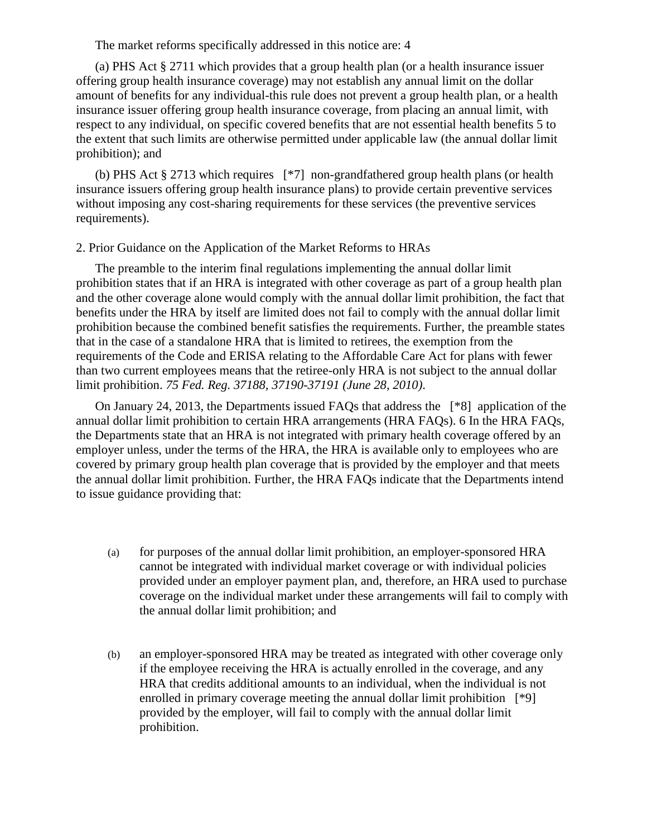The market reforms specifically addressed in this notice are: 4

(a) PHS Act § 2711 which provides that a group health plan (or a health insurance issuer offering group health insurance coverage) may not establish any annual limit on the dollar amount of benefits for any individual-this rule does not prevent a group health plan, or a health insurance issuer offering group health insurance coverage, from placing an annual limit, with respect to any individual, on specific covered benefits that are not essential health benefits 5 to the extent that such limits are otherwise permitted under applicable law (the annual dollar limit prohibition); and

(b) PHS Act § 2713 which requires [\*7] non-grandfathered group health plans (or health insurance issuers offering group health insurance plans) to provide certain preventive services without imposing any cost-sharing requirements for these services (the preventive services requirements).

#### 2. Prior Guidance on the Application of the Market Reforms to HRAs

The preamble to the interim final regulations implementing the annual dollar limit prohibition states that if an HRA is integrated with other coverage as part of a group health plan and the other coverage alone would comply with the annual dollar limit prohibition, the fact that benefits under the HRA by itself are limited does not fail to comply with the annual dollar limit prohibition because the combined benefit satisfies the requirements. Further, the preamble states that in the case of a standalone HRA that is limited to retirees, the exemption from the requirements of the Code and ERISA relating to the Affordable Care Act for plans with fewer than two current employees means that the retiree-only HRA is not subject to the annual dollar limit prohibition. *75 Fed. Reg. 37188, 37190-37191 (June 28, 2010)*.

On January 24, 2013, the Departments issued FAQs that address the [\*8] application of the annual dollar limit prohibition to certain HRA arrangements (HRA FAQs). 6 In the HRA FAQs, the Departments state that an HRA is not integrated with primary health coverage offered by an employer unless, under the terms of the HRA, the HRA is available only to employees who are covered by primary group health plan coverage that is provided by the employer and that meets the annual dollar limit prohibition. Further, the HRA FAQs indicate that the Departments intend to issue guidance providing that:

- (a) for purposes of the annual dollar limit prohibition, an employer-sponsored HRA cannot be integrated with individual market coverage or with individual policies provided under an employer payment plan, and, therefore, an HRA used to purchase coverage on the individual market under these arrangements will fail to comply with the annual dollar limit prohibition; and
- (b) an employer-sponsored HRA may be treated as integrated with other coverage only if the employee receiving the HRA is actually enrolled in the coverage, and any HRA that credits additional amounts to an individual, when the individual is not enrolled in primary coverage meeting the annual dollar limit prohibition [\*9] provided by the employer, will fail to comply with the annual dollar limit prohibition.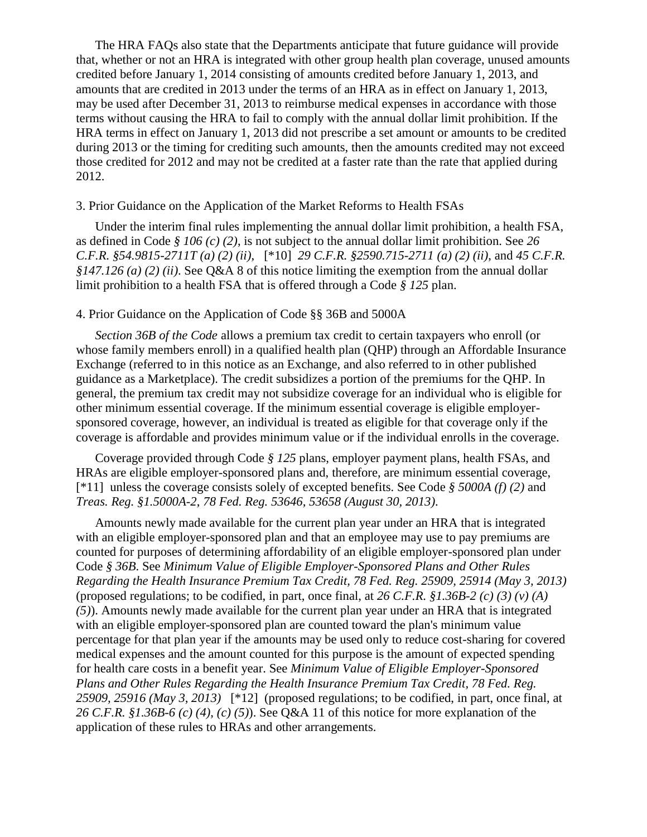The HRA FAQs also state that the Departments anticipate that future guidance will provide that, whether or not an HRA is integrated with other group health plan coverage, unused amounts credited before January 1, 2014 consisting of amounts credited before January 1, 2013, and amounts that are credited in 2013 under the terms of an HRA as in effect on January 1, 2013, may be used after December 31, 2013 to reimburse medical expenses in accordance with those terms without causing the HRA to fail to comply with the annual dollar limit prohibition. If the HRA terms in effect on January 1, 2013 did not prescribe a set amount or amounts to be credited during 2013 or the timing for crediting such amounts, then the amounts credited may not exceed those credited for 2012 and may not be credited at a faster rate than the rate that applied during 2012.

## 3. Prior Guidance on the Application of the Market Reforms to Health FSAs

Under the interim final rules implementing the annual dollar limit prohibition, a health FSA, as defined in Code *§ 106 (c) (2)*, is not subject to the annual dollar limit prohibition. See *26 C.F.R. §54.9815-2711T (a) (2) (ii)*, [\*10] *29 C.F.R. §2590.715-2711 (a) (2) (ii)*, and *45 C.F.R. §147.126 (a) (2) (ii)*. See Q&A 8 of this notice limiting the exemption from the annual dollar limit prohibition to a health FSA that is offered through a Code *§ 125* plan.

## 4. Prior Guidance on the Application of Code §§ 36B and 5000A

*Section 36B of the Code* allows a premium tax credit to certain taxpayers who enroll (or whose family members enroll) in a qualified health plan (OHP) through an Affordable Insurance Exchange (referred to in this notice as an Exchange, and also referred to in other published guidance as a Marketplace). The credit subsidizes a portion of the premiums for the QHP. In general, the premium tax credit may not subsidize coverage for an individual who is eligible for other minimum essential coverage. If the minimum essential coverage is eligible employersponsored coverage, however, an individual is treated as eligible for that coverage only if the coverage is affordable and provides minimum value or if the individual enrolls in the coverage.

Coverage provided through Code *§ 125* plans, employer payment plans, health FSAs, and HRAs are eligible employer-sponsored plans and, therefore, are minimum essential coverage, [\*11] unless the coverage consists solely of excepted benefits. See Code *§ 5000A (f) (2)* and *Treas. Reg. §1.5000A-2*, *78 Fed. Reg. 53646, 53658 (August 30, 2013)*.

Amounts newly made available for the current plan year under an HRA that is integrated with an eligible employer-sponsored plan and that an employee may use to pay premiums are counted for purposes of determining affordability of an eligible employer-sponsored plan under Code *§ 36B*. See *Minimum Value of Eligible Employer-Sponsored Plans and Other Rules Regarding the Health Insurance Premium Tax Credit, 78 Fed. Reg. 25909, 25914 (May 3, 2013)* (proposed regulations; to be codified, in part, once final, at *26 C.F.R. §1.36B-2 (c) (3) (v) (A) (5)*). Amounts newly made available for the current plan year under an HRA that is integrated with an eligible employer-sponsored plan are counted toward the plan's minimum value percentage for that plan year if the amounts may be used only to reduce cost-sharing for covered medical expenses and the amount counted for this purpose is the amount of expected spending for health care costs in a benefit year. See *Minimum Value of Eligible Employer-Sponsored Plans and Other Rules Regarding the Health Insurance Premium Tax Credit, 78 Fed. Reg. 25909, 25916 (May 3, 2013)* [\*12] (proposed regulations; to be codified, in part, once final, at *26 C.F.R. §1.36B-6 (c) (4)*, *(c) (5)*). See Q&A 11 of this notice for more explanation of the application of these rules to HRAs and other arrangements.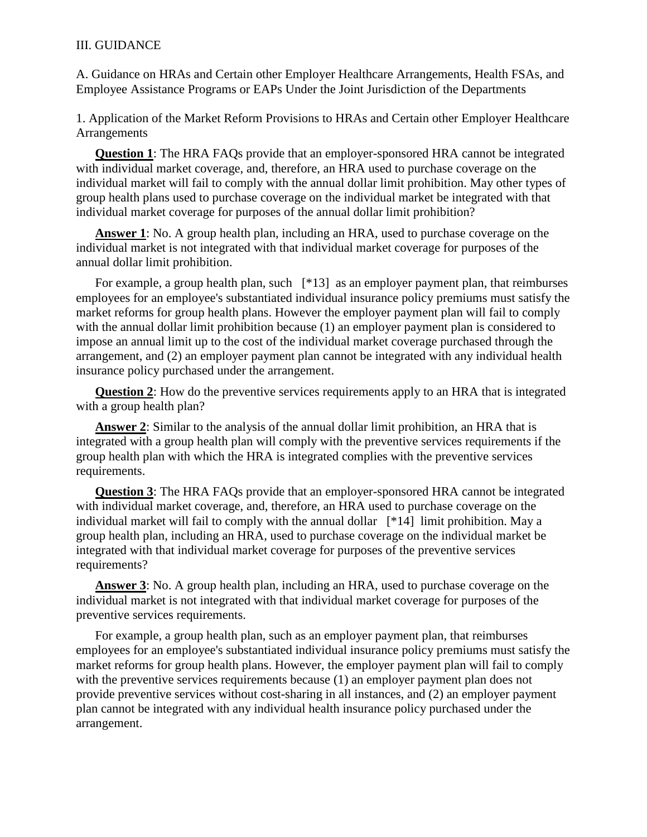## III. GUIDANCE

A. Guidance on HRAs and Certain other Employer Healthcare Arrangements, Health FSAs, and Employee Assistance Programs or EAPs Under the Joint Jurisdiction of the Departments

1. Application of the Market Reform Provisions to HRAs and Certain other Employer Healthcare Arrangements

**Question 1**: The HRA FAQs provide that an employer-sponsored HRA cannot be integrated with individual market coverage, and, therefore, an HRA used to purchase coverage on the individual market will fail to comply with the annual dollar limit prohibition. May other types of group health plans used to purchase coverage on the individual market be integrated with that individual market coverage for purposes of the annual dollar limit prohibition?

**Answer 1**: No. A group health plan, including an HRA, used to purchase coverage on the individual market is not integrated with that individual market coverage for purposes of the annual dollar limit prohibition.

For example, a group health plan, such  $[*13]$  as an employer payment plan, that reimburses employees for an employee's substantiated individual insurance policy premiums must satisfy the market reforms for group health plans. However the employer payment plan will fail to comply with the annual dollar limit prohibition because (1) an employer payment plan is considered to impose an annual limit up to the cost of the individual market coverage purchased through the arrangement, and (2) an employer payment plan cannot be integrated with any individual health insurance policy purchased under the arrangement.

**Question 2**: How do the preventive services requirements apply to an HRA that is integrated with a group health plan?

**Answer 2**: Similar to the analysis of the annual dollar limit prohibition, an HRA that is integrated with a group health plan will comply with the preventive services requirements if the group health plan with which the HRA is integrated complies with the preventive services requirements.

**Question 3**: The HRA FAQs provide that an employer-sponsored HRA cannot be integrated with individual market coverage, and, therefore, an HRA used to purchase coverage on the individual market will fail to comply with the annual dollar [\*14] limit prohibition. May a group health plan, including an HRA, used to purchase coverage on the individual market be integrated with that individual market coverage for purposes of the preventive services requirements?

**Answer 3**: No. A group health plan, including an HRA, used to purchase coverage on the individual market is not integrated with that individual market coverage for purposes of the preventive services requirements.

For example, a group health plan, such as an employer payment plan, that reimburses employees for an employee's substantiated individual insurance policy premiums must satisfy the market reforms for group health plans. However, the employer payment plan will fail to comply with the preventive services requirements because (1) an employer payment plan does not provide preventive services without cost-sharing in all instances, and (2) an employer payment plan cannot be integrated with any individual health insurance policy purchased under the arrangement.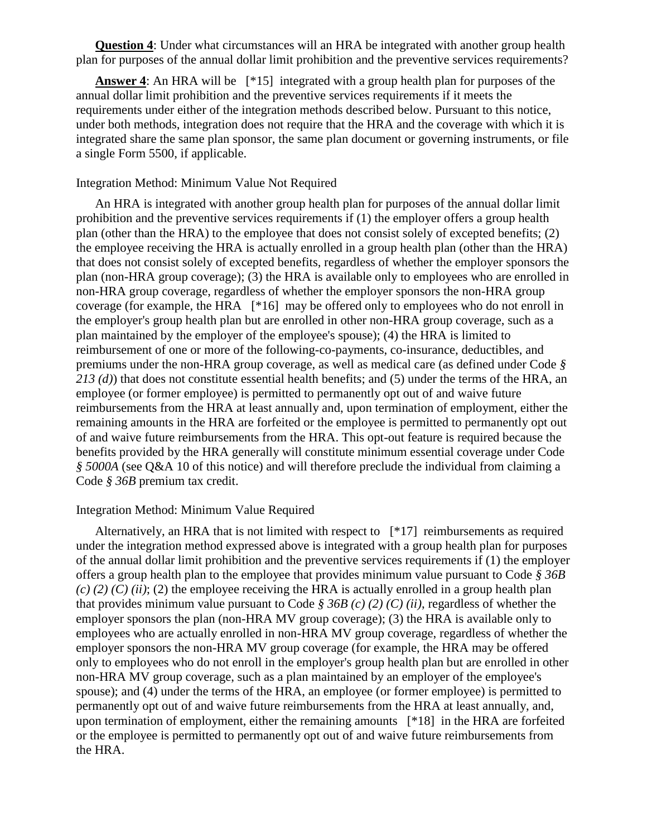**Question 4**: Under what circumstances will an HRA be integrated with another group health plan for purposes of the annual dollar limit prohibition and the preventive services requirements?

**Answer 4**: An HRA will be [\*15] integrated with a group health plan for purposes of the annual dollar limit prohibition and the preventive services requirements if it meets the requirements under either of the integration methods described below. Pursuant to this notice, under both methods, integration does not require that the HRA and the coverage with which it is integrated share the same plan sponsor, the same plan document or governing instruments, or file a single Form 5500, if applicable.

## Integration Method: Minimum Value Not Required

An HRA is integrated with another group health plan for purposes of the annual dollar limit prohibition and the preventive services requirements if (1) the employer offers a group health plan (other than the HRA) to the employee that does not consist solely of excepted benefits; (2) the employee receiving the HRA is actually enrolled in a group health plan (other than the HRA) that does not consist solely of excepted benefits, regardless of whether the employer sponsors the plan (non-HRA group coverage); (3) the HRA is available only to employees who are enrolled in non-HRA group coverage, regardless of whether the employer sponsors the non-HRA group coverage (for example, the HRA [\*16] may be offered only to employees who do not enroll in the employer's group health plan but are enrolled in other non-HRA group coverage, such as a plan maintained by the employer of the employee's spouse); (4) the HRA is limited to reimbursement of one or more of the following-co-payments, co-insurance, deductibles, and premiums under the non-HRA group coverage, as well as medical care (as defined under Code *§ 213 (d)*) that does not constitute essential health benefits; and (5) under the terms of the HRA, an employee (or former employee) is permitted to permanently opt out of and waive future reimbursements from the HRA at least annually and, upon termination of employment, either the remaining amounts in the HRA are forfeited or the employee is permitted to permanently opt out of and waive future reimbursements from the HRA. This opt-out feature is required because the benefits provided by the HRA generally will constitute minimum essential coverage under Code *§ 5000A* (see Q&A 10 of this notice) and will therefore preclude the individual from claiming a Code *§ 36B* premium tax credit.

#### Integration Method: Minimum Value Required

Alternatively, an HRA that is not limited with respect to [\*17] reimbursements as required under the integration method expressed above is integrated with a group health plan for purposes of the annual dollar limit prohibition and the preventive services requirements if (1) the employer offers a group health plan to the employee that provides minimum value pursuant to Code *§ 36B*   $(c)$  (2) (C) (ii); (2) the employee receiving the HRA is actually enrolled in a group health plan that provides minimum value pursuant to Code *§ 36B (c) (2) (C) (ii)*, regardless of whether the employer sponsors the plan (non-HRA MV group coverage); (3) the HRA is available only to employees who are actually enrolled in non-HRA MV group coverage, regardless of whether the employer sponsors the non-HRA MV group coverage (for example, the HRA may be offered only to employees who do not enroll in the employer's group health plan but are enrolled in other non-HRA MV group coverage, such as a plan maintained by an employer of the employee's spouse); and (4) under the terms of the HRA, an employee (or former employee) is permitted to permanently opt out of and waive future reimbursements from the HRA at least annually, and, upon termination of employment, either the remaining amounts [\*18] in the HRA are forfeited or the employee is permitted to permanently opt out of and waive future reimbursements from the HRA.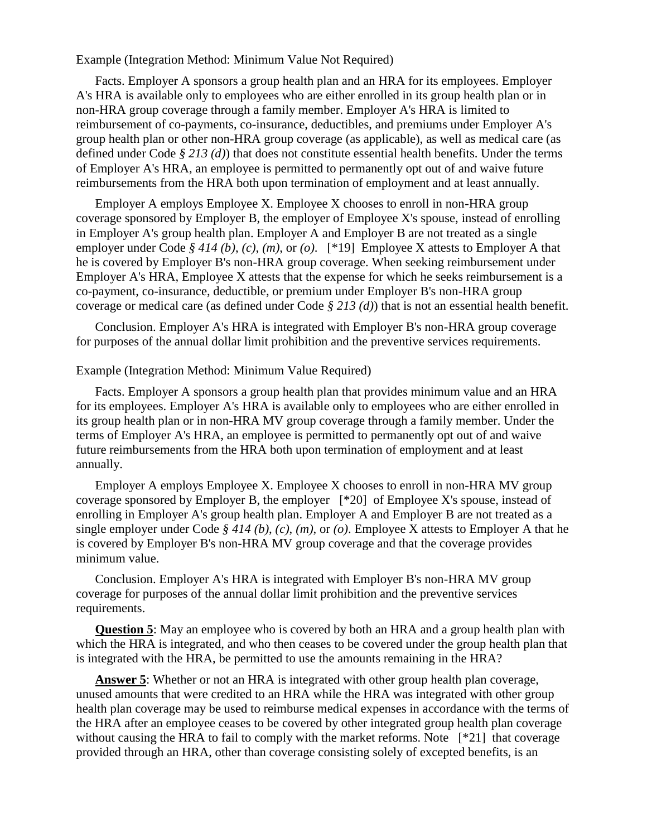Example (Integration Method: Minimum Value Not Required)

Facts. Employer A sponsors a group health plan and an HRA for its employees. Employer A's HRA is available only to employees who are either enrolled in its group health plan or in non-HRA group coverage through a family member. Employer A's HRA is limited to reimbursement of co-payments, co-insurance, deductibles, and premiums under Employer A's group health plan or other non-HRA group coverage (as applicable), as well as medical care (as defined under Code *§ 213 (d)*) that does not constitute essential health benefits. Under the terms of Employer A's HRA, an employee is permitted to permanently opt out of and waive future reimbursements from the HRA both upon termination of employment and at least annually.

Employer A employs Employee X. Employee X chooses to enroll in non-HRA group coverage sponsored by Employer B, the employer of Employee X's spouse, instead of enrolling in Employer A's group health plan. Employer A and Employer B are not treated as a single employer under Code *§ 414 (b)*, *(c)*, *(m)*, or *(o)*. [\*19] Employee X attests to Employer A that he is covered by Employer B's non-HRA group coverage. When seeking reimbursement under Employer A's HRA, Employee X attests that the expense for which he seeks reimbursement is a co-payment, co-insurance, deductible, or premium under Employer B's non-HRA group coverage or medical care (as defined under Code *§ 213 (d)*) that is not an essential health benefit.

Conclusion. Employer A's HRA is integrated with Employer B's non-HRA group coverage for purposes of the annual dollar limit prohibition and the preventive services requirements.

### Example (Integration Method: Minimum Value Required)

Facts. Employer A sponsors a group health plan that provides minimum value and an HRA for its employees. Employer A's HRA is available only to employees who are either enrolled in its group health plan or in non-HRA MV group coverage through a family member. Under the terms of Employer A's HRA, an employee is permitted to permanently opt out of and waive future reimbursements from the HRA both upon termination of employment and at least annually.

Employer A employs Employee X. Employee X chooses to enroll in non-HRA MV group coverage sponsored by Employer B, the employer [\*20] of Employee X's spouse, instead of enrolling in Employer A's group health plan. Employer A and Employer B are not treated as a single employer under Code *§ 414 (b)*, *(c)*, *(m)*, or *(o)*. Employee X attests to Employer A that he is covered by Employer B's non-HRA MV group coverage and that the coverage provides minimum value.

Conclusion. Employer A's HRA is integrated with Employer B's non-HRA MV group coverage for purposes of the annual dollar limit prohibition and the preventive services requirements.

**Question 5**: May an employee who is covered by both an HRA and a group health plan with which the HRA is integrated, and who then ceases to be covered under the group health plan that is integrated with the HRA, be permitted to use the amounts remaining in the HRA?

Answer 5: Whether or not an HRA is integrated with other group health plan coverage, unused amounts that were credited to an HRA while the HRA was integrated with other group health plan coverage may be used to reimburse medical expenses in accordance with the terms of the HRA after an employee ceases to be covered by other integrated group health plan coverage without causing the HRA to fail to comply with the market reforms. Note [\*21] that coverage provided through an HRA, other than coverage consisting solely of excepted benefits, is an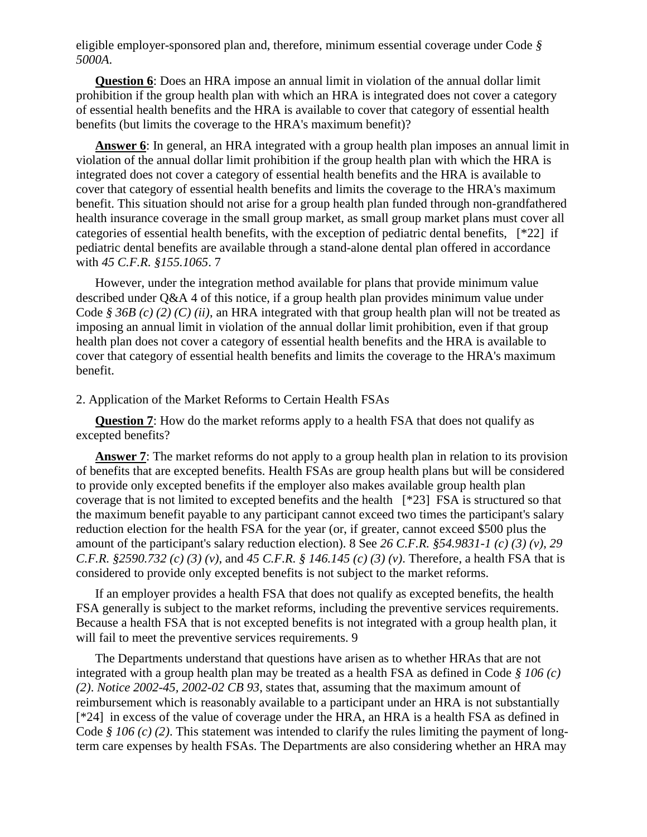eligible employer-sponsored plan and, therefore, minimum essential coverage under Code *§ 5000A*.

**Question 6**: Does an HRA impose an annual limit in violation of the annual dollar limit prohibition if the group health plan with which an HRA is integrated does not cover a category of essential health benefits and the HRA is available to cover that category of essential health benefits (but limits the coverage to the HRA's maximum benefit)?

Answer 6: In general, an HRA integrated with a group health plan imposes an annual limit in violation of the annual dollar limit prohibition if the group health plan with which the HRA is integrated does not cover a category of essential health benefits and the HRA is available to cover that category of essential health benefits and limits the coverage to the HRA's maximum benefit. This situation should not arise for a group health plan funded through non-grandfathered health insurance coverage in the small group market, as small group market plans must cover all categories of essential health benefits, with the exception of pediatric dental benefits, [\*22] if pediatric dental benefits are available through a stand-alone dental plan offered in accordance with *45 C.F.R. §155.1065*. 7

However, under the integration method available for plans that provide minimum value described under Q&A 4 of this notice, if a group health plan provides minimum value under Code *§ 36B (c) (2) (C) (ii)*, an HRA integrated with that group health plan will not be treated as imposing an annual limit in violation of the annual dollar limit prohibition, even if that group health plan does not cover a category of essential health benefits and the HRA is available to cover that category of essential health benefits and limits the coverage to the HRA's maximum benefit.

### 2. Application of the Market Reforms to Certain Health FSAs

**Question 7:** How do the market reforms apply to a health FSA that does not qualify as excepted benefits?

**Answer 7**: The market reforms do not apply to a group health plan in relation to its provision of benefits that are excepted benefits. Health FSAs are group health plans but will be considered to provide only excepted benefits if the employer also makes available group health plan coverage that is not limited to excepted benefits and the health [\*23] FSA is structured so that the maximum benefit payable to any participant cannot exceed two times the participant's salary reduction election for the health FSA for the year (or, if greater, cannot exceed \$500 plus the amount of the participant's salary reduction election). 8 See *26 C.F.R. §54.9831-1 (c) (3) (v)*, *29 C.F.R. §2590.732 (c) (3) (v)*, and *45 C.F.R. § 146.145 (c) (3) (v)*. Therefore, a health FSA that is considered to provide only excepted benefits is not subject to the market reforms.

If an employer provides a health FSA that does not qualify as excepted benefits, the health FSA generally is subject to the market reforms, including the preventive services requirements. Because a health FSA that is not excepted benefits is not integrated with a group health plan, it will fail to meet the preventive services requirements. 9

The Departments understand that questions have arisen as to whether HRAs that are not integrated with a group health plan may be treated as a health FSA as defined in Code *§ 106 (c) (2)*. *Notice 2002-45, 2002-02 CB 93*, states that, assuming that the maximum amount of reimbursement which is reasonably available to a participant under an HRA is not substantially [\*24] in excess of the value of coverage under the HRA, an HRA is a health FSA as defined in Code *§ 106 (c) (2)*. This statement was intended to clarify the rules limiting the payment of longterm care expenses by health FSAs. The Departments are also considering whether an HRA may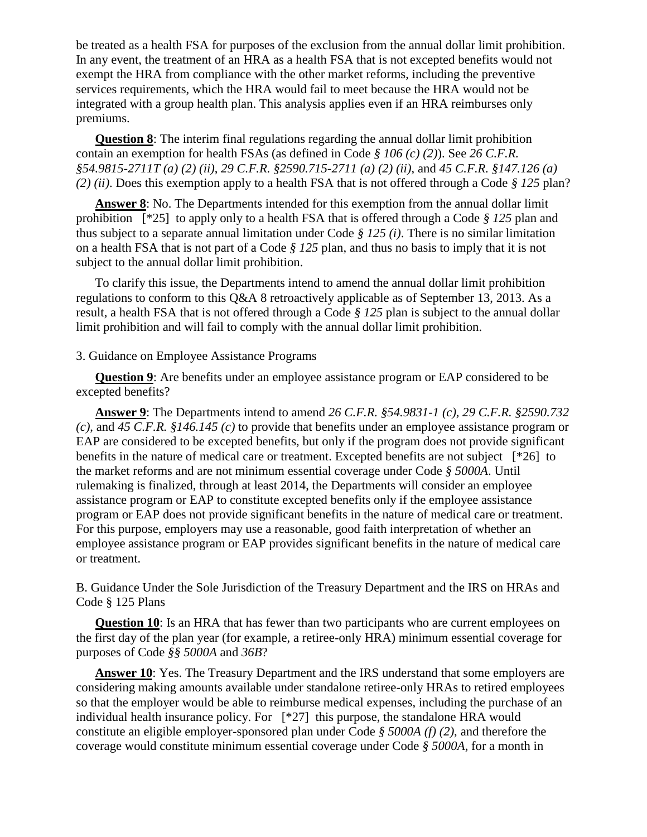be treated as a health FSA for purposes of the exclusion from the annual dollar limit prohibition. In any event, the treatment of an HRA as a health FSA that is not excepted benefits would not exempt the HRA from compliance with the other market reforms, including the preventive services requirements, which the HRA would fail to meet because the HRA would not be integrated with a group health plan. This analysis applies even if an HRA reimburses only premiums.

**Question 8**: The interim final regulations regarding the annual dollar limit prohibition contain an exemption for health FSAs (as defined in Code *§ 106 (c) (2)*). See *26 C.F.R. §54.9815-2711T (a) (2) (ii)*, *29 C.F.R. §2590.715-2711 (a) (2) (ii)*, and *45 C.F.R. §147.126 (a) (2) (ii)*. Does this exemption apply to a health FSA that is not offered through a Code *§ 125* plan?

**Answer 8**: No. The Departments intended for this exemption from the annual dollar limit prohibition [\*25] to apply only to a health FSA that is offered through a Code *§ 125* plan and thus subject to a separate annual limitation under Code *§ 125 (i)*. There is no similar limitation on a health FSA that is not part of a Code *§ 125* plan, and thus no basis to imply that it is not subject to the annual dollar limit prohibition.

To clarify this issue, the Departments intend to amend the annual dollar limit prohibition regulations to conform to this Q&A 8 retroactively applicable as of September 13, 2013. As a result, a health FSA that is not offered through a Code *§ 125* plan is subject to the annual dollar limit prohibition and will fail to comply with the annual dollar limit prohibition.

## 3. Guidance on Employee Assistance Programs

**Question 9**: Are benefits under an employee assistance program or EAP considered to be excepted benefits?

**Answer 9**: The Departments intend to amend *26 C.F.R. §54.9831-1 (c)*, *29 C.F.R. §2590.732 (c)*, and *45 C.F.R. §146.145 (c)* to provide that benefits under an employee assistance program or EAP are considered to be excepted benefits, but only if the program does not provide significant benefits in the nature of medical care or treatment. Excepted benefits are not subject [\*26] to the market reforms and are not minimum essential coverage under Code *§ 5000A*. Until rulemaking is finalized, through at least 2014, the Departments will consider an employee assistance program or EAP to constitute excepted benefits only if the employee assistance program or EAP does not provide significant benefits in the nature of medical care or treatment. For this purpose, employers may use a reasonable, good faith interpretation of whether an employee assistance program or EAP provides significant benefits in the nature of medical care or treatment.

B. Guidance Under the Sole Jurisdiction of the Treasury Department and the IRS on HRAs and Code § 125 Plans

**Question 10**: Is an HRA that has fewer than two participants who are current employees on the first day of the plan year (for example, a retiree-only HRA) minimum essential coverage for purposes of Code *§§ 5000A* and *36B*?

**Answer 10**: Yes. The Treasury Department and the IRS understand that some employers are considering making amounts available under standalone retiree-only HRAs to retired employees so that the employer would be able to reimburse medical expenses, including the purchase of an individual health insurance policy. For [\*27] this purpose, the standalone HRA would constitute an eligible employer-sponsored plan under Code *§ 5000A (f) (2)*, and therefore the coverage would constitute minimum essential coverage under Code *§ 5000A*, for a month in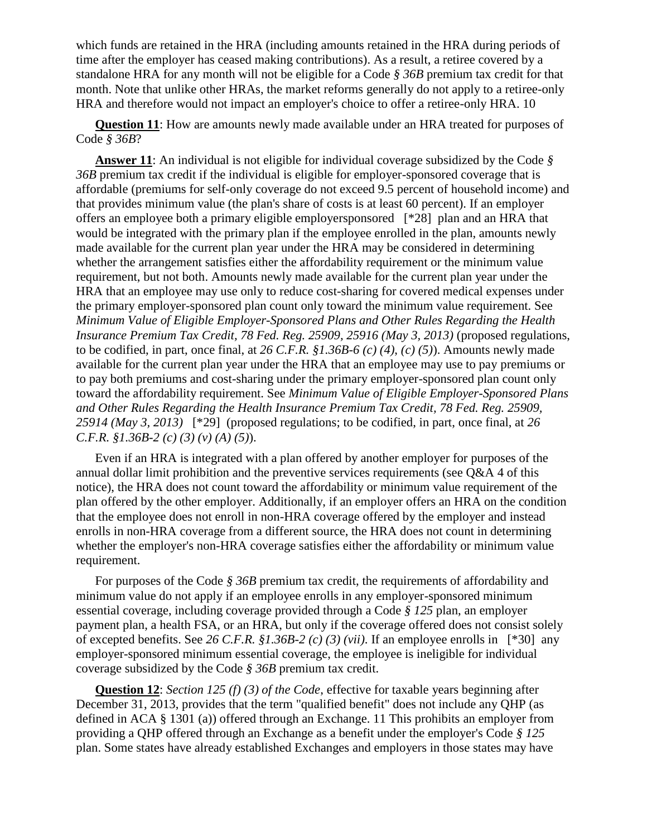which funds are retained in the HRA (including amounts retained in the HRA during periods of time after the employer has ceased making contributions). As a result, a retiree covered by a standalone HRA for any month will not be eligible for a Code *§ 36B* premium tax credit for that month. Note that unlike other HRAs, the market reforms generally do not apply to a retiree-only HRA and therefore would not impact an employer's choice to offer a retiree-only HRA. 10

**Question 11**: How are amounts newly made available under an HRA treated for purposes of Code *§ 36B*?

**Answer 11**: An individual is not eligible for individual coverage subsidized by the Code *§ 36B* premium tax credit if the individual is eligible for employer-sponsored coverage that is affordable (premiums for self-only coverage do not exceed 9.5 percent of household income) and that provides minimum value (the plan's share of costs is at least 60 percent). If an employer offers an employee both a primary eligible employersponsored [\*28] plan and an HRA that would be integrated with the primary plan if the employee enrolled in the plan, amounts newly made available for the current plan year under the HRA may be considered in determining whether the arrangement satisfies either the affordability requirement or the minimum value requirement, but not both. Amounts newly made available for the current plan year under the HRA that an employee may use only to reduce cost-sharing for covered medical expenses under the primary employer-sponsored plan count only toward the minimum value requirement. See *Minimum Value of Eligible Employer-Sponsored Plans and Other Rules Regarding the Health Insurance Premium Tax Credit, 78 Fed. Reg. 25909, 25916 (May 3, 2013)* (proposed regulations, to be codified, in part, once final, at *26 C.F.R. §1.36B-6 (c) (4)*, *(c) (5)*). Amounts newly made available for the current plan year under the HRA that an employee may use to pay premiums or to pay both premiums and cost-sharing under the primary employer-sponsored plan count only toward the affordability requirement. See *Minimum Value of Eligible Employer-Sponsored Plans and Other Rules Regarding the Health Insurance Premium Tax Credit, 78 Fed. Reg. 25909, 25914 (May 3, 2013)* [\*29] (proposed regulations; to be codified, in part, once final, at *26 C.F.R. §1.36B-2 (c) (3) (v) (A) (5)*).

Even if an HRA is integrated with a plan offered by another employer for purposes of the annual dollar limit prohibition and the preventive services requirements (see  $O&A$  4 of this notice), the HRA does not count toward the affordability or minimum value requirement of the plan offered by the other employer. Additionally, if an employer offers an HRA on the condition that the employee does not enroll in non-HRA coverage offered by the employer and instead enrolls in non-HRA coverage from a different source, the HRA does not count in determining whether the employer's non-HRA coverage satisfies either the affordability or minimum value requirement.

For purposes of the Code *§ 36B* premium tax credit, the requirements of affordability and minimum value do not apply if an employee enrolls in any employer-sponsored minimum essential coverage, including coverage provided through a Code *§ 125* plan, an employer payment plan, a health FSA, or an HRA, but only if the coverage offered does not consist solely of excepted benefits. See *26 C.F.R. §1.36B-2 (c) (3) (vii)*. If an employee enrolls in [\*30] any employer-sponsored minimum essential coverage, the employee is ineligible for individual coverage subsidized by the Code *§ 36B* premium tax credit.

**Question 12**: *Section 125 (f) (3) of the Code*, effective for taxable years beginning after December 31, 2013, provides that the term "qualified benefit" does not include any QHP (as defined in ACA § 1301 (a)) offered through an Exchange. 11 This prohibits an employer from providing a QHP offered through an Exchange as a benefit under the employer's Code *§ 125* plan. Some states have already established Exchanges and employers in those states may have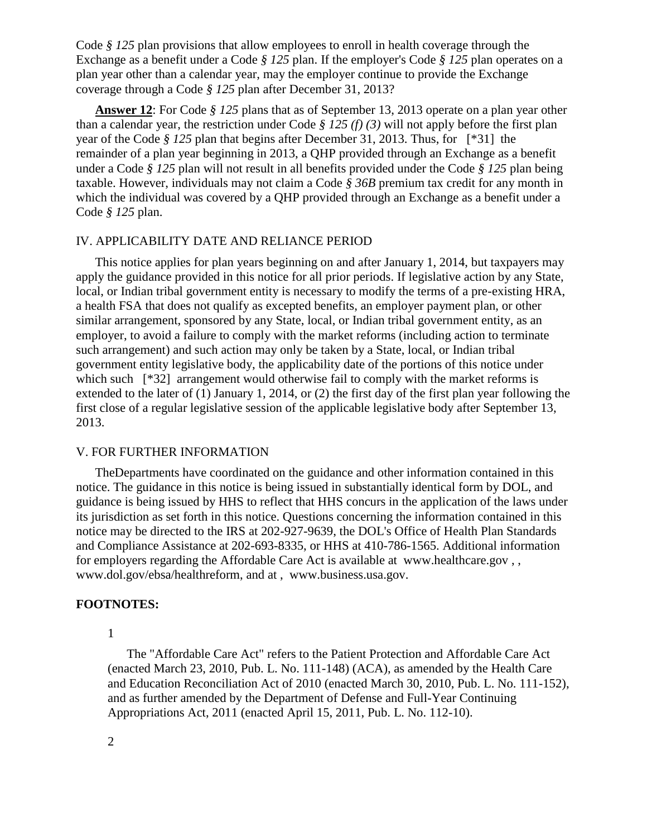Code *§ 125* plan provisions that allow employees to enroll in health coverage through the Exchange as a benefit under a Code *§ 125* plan. If the employer's Code *§ 125* plan operates on a plan year other than a calendar year, may the employer continue to provide the Exchange coverage through a Code *§ 125* plan after December 31, 2013?

**Answer 12**: For Code *§ 125* plans that as of September 13, 2013 operate on a plan year other than a calendar year, the restriction under Code *§ 125 (f) (3)* will not apply before the first plan year of the Code *§ 125* plan that begins after December 31, 2013. Thus, for [\*31] the remainder of a plan year beginning in 2013, a QHP provided through an Exchange as a benefit under a Code *§ 125* plan will not result in all benefits provided under the Code *§ 125* plan being taxable. However, individuals may not claim a Code *§ 36B* premium tax credit for any month in which the individual was covered by a QHP provided through an Exchange as a benefit under a Code *§ 125* plan.

## IV. APPLICABILITY DATE AND RELIANCE PERIOD

This notice applies for plan years beginning on and after January 1, 2014, but taxpayers may apply the guidance provided in this notice for all prior periods. If legislative action by any State, local, or Indian tribal government entity is necessary to modify the terms of a pre-existing HRA, a health FSA that does not qualify as excepted benefits, an employer payment plan, or other similar arrangement, sponsored by any State, local, or Indian tribal government entity, as an employer, to avoid a failure to comply with the market reforms (including action to terminate such arrangement) and such action may only be taken by a State, local, or Indian tribal government entity legislative body, the applicability date of the portions of this notice under which such [\*32] arrangement would otherwise fail to comply with the market reforms is extended to the later of (1) January 1, 2014, or (2) the first day of the first plan year following the first close of a regular legislative session of the applicable legislative body after September 13, 2013.

#### V. FOR FURTHER INFORMATION

TheDepartments have coordinated on the guidance and other information contained in this notice. The guidance in this notice is being issued in substantially identical form by DOL, and guidance is being issued by HHS to reflect that HHS concurs in the application of the laws under its jurisdiction as set forth in this notice. Questions concerning the information contained in this notice may be directed to the IRS at 202-927-9639, the DOL's Office of Health Plan Standards and Compliance Assistance at 202-693-8335, or HHS at 410-786-1565. Additional information for employers regarding the Affordable Care Act is available at www.healthcare.gov , , www.dol.gov/ebsa/healthreform, and at , www.business.usa.gov.

### **FOOTNOTES:**

1

The "Affordable Care Act" refers to the Patient Protection and Affordable Care Act (enacted March 23, 2010, Pub. L. No. 111-148) (ACA), as amended by the Health Care and Education Reconciliation Act of 2010 (enacted March 30, 2010, Pub. L. No. 111-152), and as further amended by the Department of Defense and Full-Year Continuing Appropriations Act, 2011 (enacted April 15, 2011, Pub. L. No. 112-10).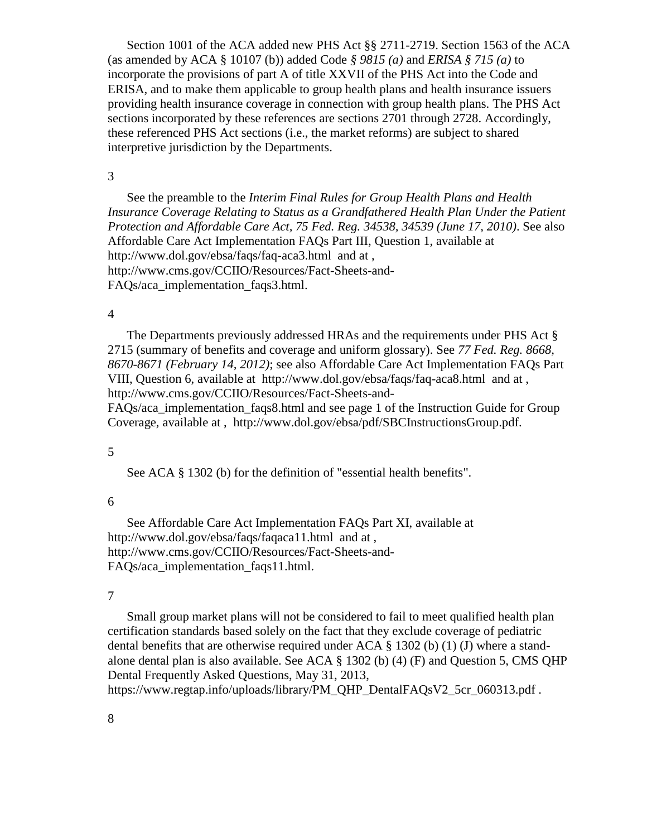Section 1001 of the ACA added new PHS Act §§ 2711-2719. Section 1563 of the ACA (as amended by ACA § 10107 (b)) added Code *§ 9815 (a)* and *ERISA § 715 (a)* to incorporate the provisions of part A of title XXVII of the PHS Act into the Code and ERISA, and to make them applicable to group health plans and health insurance issuers providing health insurance coverage in connection with group health plans. The PHS Act sections incorporated by these references are sections 2701 through 2728. Accordingly, these referenced PHS Act sections (i.e., the market reforms) are subject to shared interpretive jurisdiction by the Departments.

#### 3

See the preamble to the *Interim Final Rules for Group Health Plans and Health*  Insurance Coverage Relating to Status as a Grandfathered Health Plan Under the Patient *Protection and Affordable Care Act, 75 Fed. Reg. 34538, 34539 (June 17, 2010)*. See also Affordable Care Act Implementation FAQs Part III, Question 1, available at http://www.dol.gov/ebsa/faqs/faq-aca3.html and at , http://www.cms.gov/CCIIO/Resources/Fact-Sheets-and-FAQs/aca\_implementation\_faqs3.html.

#### 4

The Departments previously addressed HRAs and the requirements under PHS Act § 2715 (summary of benefits and coverage and uniform glossary). See *77 Fed. Reg. 8668, 8670-8671 (February 14, 2012)*; see also Affordable Care Act Implementation FAQs Part VIII, Question 6, available at http://www.dol.gov/ebsa/faqs/faq-aca8.html and at , http://www.cms.gov/CCIIO/Resources/Fact-Sheets-and-

FAQs/aca implementation faqs8.html and see page 1 of the Instruction Guide for Group Coverage, available at , http://www.dol.gov/ebsa/pdf/SBCInstructionsGroup.pdf.

#### 5

See ACA § 1302 (b) for the definition of "essential health benefits".

#### 6

See Affordable Care Act Implementation FAQs Part XI, available at http://www.dol.gov/ebsa/faqs/faqaca11.html and at , http://www.cms.gov/CCIIO/Resources/Fact-Sheets-and-FAQs/aca\_implementation\_faqs11.html.

#### 7

Small group market plans will not be considered to fail to meet qualified health plan certification standards based solely on the fact that they exclude coverage of pediatric dental benefits that are otherwise required under  $ACA \S 1302$  (b) (1) (J) where a standalone dental plan is also available. See ACA  $\S$  1302 (b) (4) (F) and Question 5, CMS QHP Dental Frequently Asked Questions, May 31, 2013,

https://www.regtap.info/uploads/library/PM\_QHP\_DentalFAQsV2\_5cr\_060313.pdf.